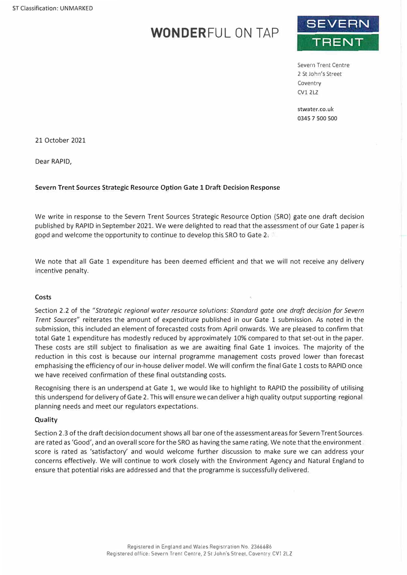# **WONDERFUL ON TAP**



Severn Trent Centre 2 St John's Street Coventry CVl 2LZ

stwater.co.uk 0345 7 500 500

21 October 2021

Dear RAPID,

# **Severn Trent Sources Strategic Resource Option Gate 1 Draft Decision Response**

We write in response to the Severn Trent Sources Strategic Resource Option (SRO) gate one draft decision published by RAPID in September 2021. We were delighted to read that the assessment of our Gate 1 paper is good and welcome the opportunity to continue to develop this SRO to Gate 2.

We note that all Gate 1 expenditure has been deemed efficient and that we will not receive any delivery incentive penalty.

#### **Costs**

Section 2.2 of the *"Strategic regional water resource solutions: Standard gate one draft decision for Severn Trent Sources"* reiterates the amount of expenditure published in our Gate 1 submission. As noted in the submission, this included an element of forecasted costs from April onwards. We are pleased to confirm that total Gate 1 expenditure has modestly reduced by approximately 10% compared to that set-out in the paper. These costs are still subject to finalisation as we are awaiting final Gate 1 invoices. The majority of the reduction in this cost is because our internal programme management costs proved lower than forecast emphasising the efficiency of our in-house deliver model. We will confirm the final Gate 1 costs to RAPID once we have received confirmation of these final outstanding costs.

Recognising there is an underspend at Gate 1, we would like to highlight to RAPID the possibility of utilising this underspend for delivery of Gate 2. This will ensure we candeliver a high quality output supporting regional planning needs and meet our regulators expectations.

#### **Quality**

Section 2.3 of the draft decisiondocument shows all bar one of the assessmentareas for Severn Trent Sources are rated as 'Good', and an overall score for the SRO as having the same rating. We note that the environment score is rated as 'satisfactory' and would welcome further discussion to make sure we can address your concerns effectively. We will continue to work closely with the Environment Agency and Natural England to ensure that potential risks are addressed and that the programme is successfully delivered.